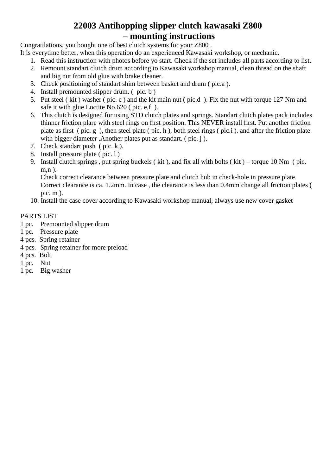#### **22003 Antihopping slipper clutch kawasaki Z800 – mounting instructions**

Congratilations, you bought one of best clutch systems for your Z800 .

- It is everytime better, when this operation do an experienced Kawasaki workshop, or mechanic.
	- 1. Read this instruction with photos before yo start. Check if the set includes all parts according to list.
	- 2. Remount standart clutch drum according to Kawasaki workshop manual, clean thread on the shaft and big nut from old glue with brake cleaner.
	- 3. Check positioning of standart shim between basket and drum ( pic.a ).
	- 4. Install premounted slipper drum. ( pic. b )
	- 5. Put steel ( kit ) washer ( pic. c ) and the kit main nut ( pic.d ). Fix the nut with torque 127 Nm and safe it with glue Loctite No.620 ( pic. e,f ).
	- 6. This clutch is designed for using STD clutch plates and springs. Standart clutch plates pack includes thinner friction plare with steel rings on first position. This NEVER install first. Put another friction plate as first ( pic. g ), then steel plate ( pic. h ), both steel rings ( pic.i ). and after the friction plate with bigger diameter .Another plates put as standart. (pic. j).
	- 7. Check standart push ( pic. k ).
	- 8. Install pressure plate ( pic. l )
	- 9. Install clutch springs , put spring buckels ( kit ), and fix all with bolts ( kit ) torque 10 Nm ( pic. m,n ).

Check correct clearance between pressure plate and clutch hub in check-hole in pressure plate. Correct clearance is ca. 1.2mm. In case , the clearance is less than 0.4mm change all friction plates ( pic. m ).

10. Install the case cover according to Kawasaki workshop manual, always use new cover gasket

#### PARTS LIST

- 1 pc. Premounted slipper drum
- 1 pc. Pressure plate
- 4 pcs. Spring retainer
- 4 pcs. Spring retainer for more preload
- 4 pcs. Bolt
- 1 pc. Nut
- 1 pc. Big washer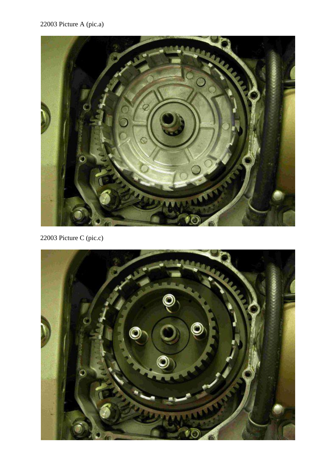## 22003 Picture A (pic.a)



22003 Picture C (pic.c)

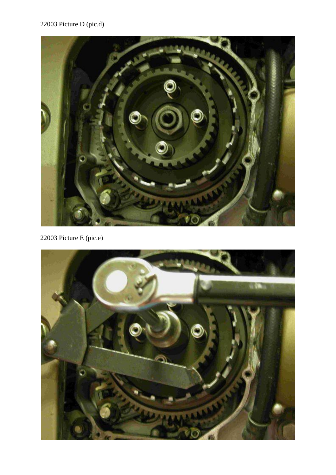## 22003 Picture D (pic.d)



22003 Picture E (pic.e)

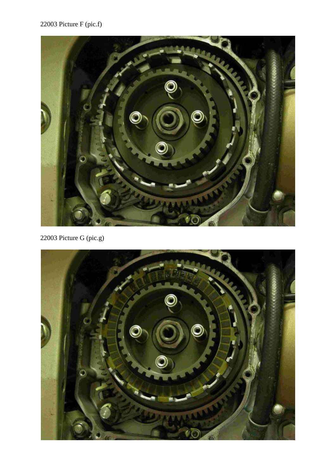# 22003 Picture F (pic.f)



22003 Picture G (pic.g)

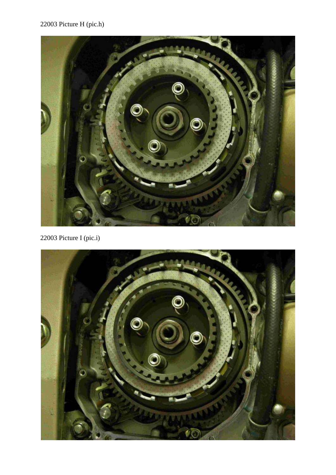## 22003 Picture H (pic.h)



22003 Picture I (pic.i)

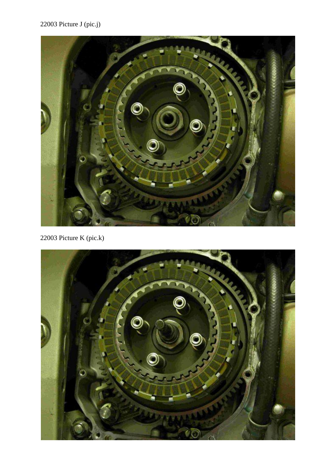22003 Picture J (pic.j)



22003 Picture K (pic.k)